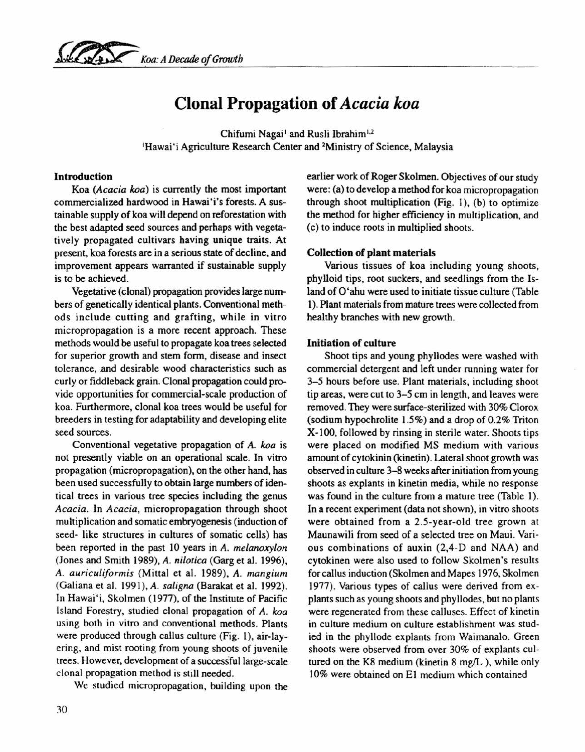

# **Clonal Propagation of** *Acacia koa*

Chifumi Nagai<sup>1</sup> and Rusli Ibrahim<sup>1,2</sup> 'Hawai'i Agriculture Research Center and 2Ministry of Science, Malaysia

#### Introduction

Koa *(Acacia koa)* is currently the most important commercialized hardwood in Hawai'i's forests. A sustainable supply of koa will depend on reforestation with the best adapted seed sources and perhaps with vegetatively propagated cultivars having unique traits. At present, koa forests are in a serious state of decline, and improvement appears warranted if sustainable supply is to be achieved.

Vegetative (clonal) propagation provides large numbers of genetically identical plants. Conventional methods include cutting and grafting, while in vitro micropropagation is a more recent approach. These methods would be useful to propagate koa trees selected for superior growth and stem form, disease and insect tolerance, .and desirable wood characteristics such as curly or fiddleback grain. Clonal propagation could provide opportunities for commercial-scale production of koa. Furthermore, clonal koa trees would be useful for breeders in testing for adaptability and developing elite seed sources.

Conventional vegetative propagation of *A. koa* is not presently viable on an operational scale. In vitro propagation (micropropagation), on the other hand, has been used successfully to obtain large numbers of identical trees in various tree species including the genus *Acacia.* In *Acacia,* micropropagation through shoot multiplication and somatic embryogenesis (induction of seed- like structures in cultures of somatic cells) has been reported in the past 10 years in A. *melanoxylon* (Jones and Smith 1989), A. *nilotica* (Garg et al. 1996), *A. auriculiformis* (Mittal et al. 1989), *A. mangium* (Galiana et al. 1991), A. *sa ligna* (Barakat et al. 1992). In Hawai'i, Skolmen (1977). of the Institute of Pacific Island Forestry, studied clonal propagation of A. *koa* using both in vitro and conventional methods. Plants were produced through callus culture (Fig. I), air-layering. and mist rooting from young shoots of juvenile trees. However, development of a successful large-scale clonal propagation method is still needed.

We studied micropropagation, building upon the

earlier work of Roger Skolmen. Objectives of our study were: (a) to develop a method for koa micropropagation through shoot multiplication (Fig. I). (b) to optimize the method for higher efficiency in multiplication. and (c) to induce roots in multiplied shoots.

#### Collection of plant materials

Various tissues of koa including young shoots. phylloid tips, root suckers, and seedlings from the Island of O'ahu were used to initiate tissue culture (Table 1).Plant materials from mature trees were collected from healthy branches with new growth.

#### Initiation of culture

Shoot tips and young phyllodes were washed with commercial detergent and left under running water for 3-5 hours before use. Plant materials. including shoot tip areas, were cut to 3-5 cm in length, and leaves were removed. They were surface-sterilized with 30% Clorox (sodium hypochrolite 1.5%) and a drop of 0.2% Triton X-l00, followed by rinsing in sterile water. Shoots tips were placed on modified MS medium with various amount of cytokinin (kinetin). Lateral shoot growth was observed in culture 3-8 weeks after initiation from young shoots as explants in kinetin media, while no response was found in the culture from a mature tree (Table 1). In a recent experiment (data not shown), in vitro shoots were obtained from a 2.5-year-old tree grown at Maunawili from seed of a selected tree on Maui. Various combinations of auxin (2,4-D and NAA) and cytokinen were also used to follow Skolmen's results for callus induction (Skolmen and Mapes 1976, Skolmen 1977). Various types of callus were derived from explants such as young shoots and phyllodes, but no plants were regenerated from these calluses. Effect of kinetin in culture medium on culture establishment was studied in the phyllode explants from Waimanalo. Green shoots were observed from over 30% of explants cultured on the K8 medium (kinetin  $8 \text{ mg/L}$ ), while only 10% were obtained on E1 medium which contained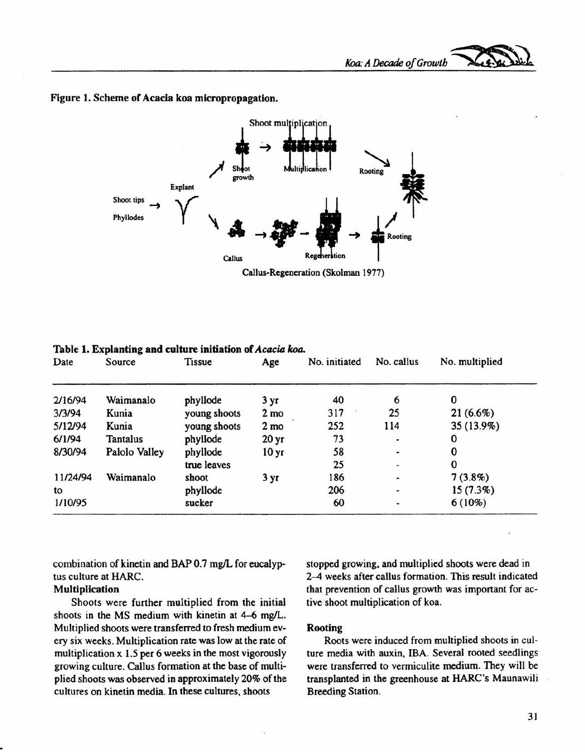## Figure 1. Scheme of Acacia koa micropropagation.



Date Source Tissue Age No. initiated No. callus No. multiplied 2/16/94 Waimanalo phyllode 3 yr 40 6 0 3/3/94 Kunia young shoots 2mo 317 25 21 (6.6%) 5/12194 Kunia young shoots 2mo 252 114 35 (13.9%) 6/1/94 Tantalus phyllode 20yr 73 0 8/30/94 Palolo Valley phyllode 10 yr 58 - 0 true leaves 25 contract 25 contract 25 contract 25 contract 25 contract 25 contract 25 contract 25 contract 25 11/24/94 Waimanalo shoot 3 yr 186 7 (3.8%) to **phyllode**  $206$   $-15 (7.3\%)$ 1/10/95 sucker 60 6 (10%)

Table 1. Explanting and culture initiation of *Acacia koa.*

combination of kinetin and BAP 0.7 mg/L for eucalyptus culture at HARC.

# Multiplication

Shoots were further multiplied from the initial shoots in the MS medium with kinetin at 4-6 mg/L. Multiplied shoots were transferred to fresh medium every six weeks. Multiplication rate was low at the rate of multiplication x 1.5 per 6 weeks in the most vigorously growing culture. Callus formation at the base of multiplied shoots was observed in approximately 20% of the cultures on kinetin media. In these cultures, shoots

stopped growing, and multiplied shoots were dead in 2–4 weeks after callus formation. This result indicated that prevention of callus growth was important for active shoot multiplication of koa.

# Rooting

Roots were induced from multiplied shoots in culture media with auxin, IBA. Several rooted seedlings were transferred to vermiculite medium. They will be transplanted in the greenhouse at HARC's Maunawili Breeding Station.